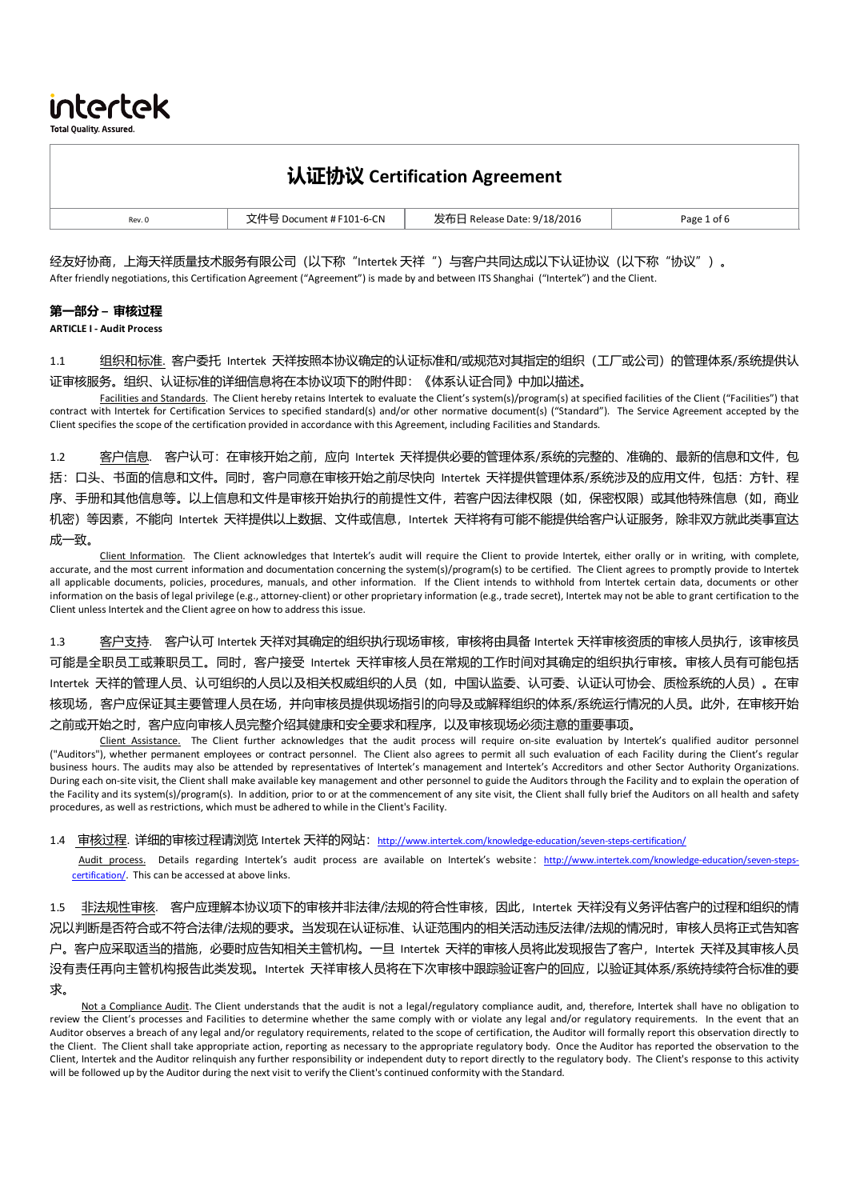**Total Quality, Assured** 

intertek

# 认证协议 **Certification Agreement**

| $\sim$ $\sim$<br>Page 1 of 6<br>Rev. 0<br>ີ່ 8/201u<br>1-6-CN<br><b>PAIA</b><br>∩≏r<br>ם דבו ו<br>$\pi$ |  |  |
|---------------------------------------------------------------------------------------------------------|--|--|

经友好协商,上海天祥质量技术服务有限公司(以下称"Intertek 天祥")与客户共同达成以下认证协议(以下称"协议")。 After friendly negotiations, this Certification Agreement ("Agreement") is made by and between ITS Shanghai ("Intertek") and the Client.

#### 第一部分 **–** 审核过程

**ARTICLE I - Audit Process**

1.1 组织和标准. 客户委托 Intertek 天祥按照本协议确定的认证标准和/或规范对其指定的组织 (工厂或公司) 的管理体系/系统提供认 证审核服务。组织、认证标准的详细信息将在本协议项下的附件即:《体系认证合同》中加以描述。

Facilities and Standards. The Client hereby retains Intertek to evaluate the Client's system(s)/program(s) at specified facilities of the Client ("Facilities") that contract with Intertek for Certification Services to specified standard(s) and/or other normative document(s) ("Standard"). The Service Agreement accepted by the Client specifies the scope of the certification provided in accordance with this Agreement, including Facilities and Standards.

1.2 答户信息. 客户认可:在审核开始之前,应向 Intertek 天祥提供必要的管理体系/系统的完整的、准确的、最新的信息和文件,包 括:口头、书面的信息和文件。同时,客户同意在审核开始之前尽快向 Intertek 天祥提供管理体系/系统涉及的应用文件,包括:方针、程 序、手册和其他信息等。以上信息和文件是审核开始执行的前提性文件,若客户因法律权限(如,保密权限)或其他特殊信息(如,商业 机密)等因素,不能向 Intertek 天祥提供以上数据、文件或信息,Intertek 天祥将有可能不能提供给客户认证服务,除非双方就此类事宜达 成一致。

Client Information. The Client acknowledges that Intertek's audit will require the Client to provide Intertek, either orally or in writing, with complete, accurate, and the most current information and documentation concerning the system(s)/program(s) to be certified. The Client agrees to promptly provide to Intertek all applicable documents, policies, procedures, manuals, and other information. If the Client intends to withhold from Intertek certain data, documents or other information on the basis of legal privilege (e.g., attorney-client) or other proprietary information (e.g., trade secret), Intertek may not be able to grant certification to the Client unless Intertek and the Client agree on how to address this issue.

1.3 客户支持. 客户认可 Intertek 天祥对其确定的组织执行现场审核,审核将由具备 Intertek 天祥审核资质的审核人员执行,该审核员 可能是全职员工或兼职员工。同时,客户接受 Intertek 天祥审核人员在常规的工作时间对其确定的组织执行审核。审核人员有可能包括 Intertek 天祥的管理人员、认可组织的人员以及相关权威组织的人员(如,中国认监委、认可委、认证认可协会、质检系统的人员)。在审 核现场,客户应保证其主要管理人员在场,并向审核员提供现场指引的向导及或解释组织的体系/系统运行情况的人员。此外,在审核开始 之前或开始之时,客户应向审核人员完整介绍其健康和安全要求和程序,以及审核现场必须注意的重要事项。

Client Assistance. The Client further acknowledges that the audit process will require on-site evaluation by Intertek's qualified auditor personnel ("Auditors"), whether permanent employees or contract personnel. The Client also agrees to permit all such evaluation of each Facility during the Client's regular business hours. The audits may also be attended by representatives of Intertek's management and Intertek's Accreditors and other Sector Authority Organizations. During each on-site visit, the Client shall make available key management and other personnel to guide the Auditors through the Facility and to explain the operation of the Facility and its system(s)/program(s). In addition, prior to or at the commencement of any site visit, the Client shall fully brief the Auditors on all health and safety procedures, as well as restrictions, which must be adhered to while in the Client's Facility.

1.4 审核过程. 详细的审核过程请浏览 Intertek 天祥的网站: http://www.intertek.com/knowledge-education/seven-steps-certification/

Audit process. Details regarding Intertek's audit process are available on Intertek's website: http://www.intertek.com/knowledge-education/seven-stepscertification/. This can be accessed at above links.

非法规性审核. 客户应理解本协议项下的审核并非法律/法规的符合性审核,因此,Intertek 天祥没有义务评估客户的过程和组织的情 况以判断是否符合或不符合法律/法规的要求。当发现在认证标准、认证范围内的相关活动违反法律/法规的情况时,审核人员将正式告知客 户。客户应采取适当的措施,必要时应告知相关主管机构。一旦 Intertek 天祥的审核人员将此发现报告了客户,Intertek 天祥及其审核人员 没有责任再向主管机构报告此类发现。Intertek 天祥审核人员将在下次审核中跟踪验证客户的回应,以验证其体系/系统持续符合标准的要 求。

Not a Compliance Audit. The Client understands that the audit is not a legal/regulatory compliance audit, and, therefore, Intertek shall have no obligation to review the Client's processes and Facilities to determine whether the same comply with or violate any legal and/or regulatory requirements. In the event that an Auditor observes a breach of any legal and/or regulatory requirements, related to the scope of certification, the Auditor will formally report this observation directly to the Client. The Client shall take appropriate action, reporting as necessary to the appropriate regulatory body. Once the Auditor has reported the observation to the Client, Intertek and the Auditor relinquish any further responsibility or independent duty to report directly to the regulatory body. The Client's response to this activity will be followed up by the Auditor during the next visit to verify the Client's continued conformity with the Standard.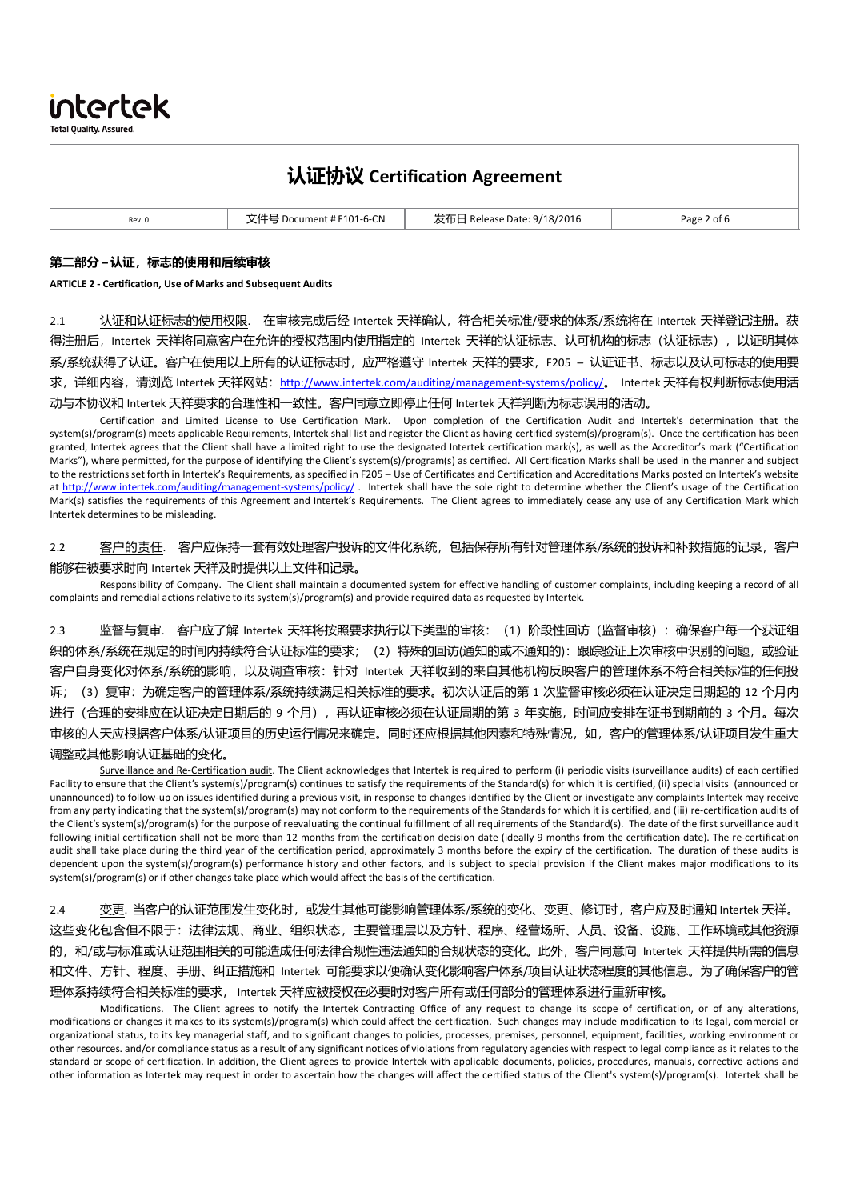intertek

**Total Quality, Assured** 

# 认证协议 **Certification Agreement**

| ___<br>$\sim$ $\sim$ |        | 1-6-CN | 18/2016<br>ے ہ<br>лате. | 9200<br>$\sim$ |
|----------------------|--------|--------|-------------------------|----------------|
|                      | Rev. 0 |        |                         |                |

#### 第二部分 **–** 认证,标志的使用和后续审核

#### **ARTICLE 2 - Certification, Use of Marks and Subsequent Audits**

2.1 认证和认证标志的使用权限. 在审核完成后经 Intertek 天祥确认,符合相关标准/要求的体系/系统将在 Intertek 天祥登记注册。获 得注册后, Intertek 天祥将同意客户在允许的授权范围内使用指定的 Intertek 天祥的认证标志、认可机构的标志(认证标志), 以证明其体 系/系统获得了认证。客户在使用以上所有的认证标志时,应严格遵守 Intertek 天祥的要求, F205 – 认证证书、标志以及认可标志的使用要 求,详细内容,请浏览 Intertek 天祥网站: http://www.intertek.com/auditing/management-systems/policy/。 Intertek 天祥有权判断标志使用活 动与本协议和 Intertek 天祥要求的合理性和一致性。客户同意立即停止任何 Intertek 天祥判断为标志误用的活动。

Certification and Limited License to Use Certification Mark. Upon completion of the Certification Audit and Intertek's determination that the system(s)/program(s) meets applicable Requirements, Intertek shall list and register the Client as having certified system(s)/program(s). Once the certification has been granted, Intertek agrees that the Client shall have a limited right to use the designated Intertek certification mark(s), as well as the Accreditor's mark ("Certification Marks"), where permitted, for the purpose of identifying the Client's system(s)/program(s) as certified. All Certification Marks shall be used in the manner and subject to the restrictions set forth in Intertek's Requirements, as specified in F205 – Use of Certificates and Certification and Accreditations Marks posted on Intertek's website at http://www.intertek.com/auditing/management-systems/policy/. Intertek shall have the sole right to determine whether the Client's usage of the Certification Mark(s) satisfies the requirements of this Agreement and Intertek's Requirements. The Client agrees to immediately cease any use of any Certification Mark which Intertek determines to be misleading.

2.2 答户的责任. 客户应保持一套有效处理客户投诉的文件化系统,包括保存所有针对管理体系/系统的投诉和补救措施的记录,客户 能够在被要求时向 Intertek 天祥及时提供以上文件和记录。

Responsibility of Company. The Client shall maintain a documented system for effective handling of customer complaints, including keeping a record of all complaints and remedial actions relative to its system(s)/program(s) and provide required data as requested by Intertek.

2.3 监督与复审. 客户应了解 Intertek 天祥将按照要求执行以下类型的审核: (1) 阶段性回访 (监督审核) : 确保客户每一个获证组 织的体系/系统在规定的时间内持续符合认证标准的要求;(2)特殊的回访(通知的或不通知的):跟踪验证上次审核中识别的问题,或验证 客户自身变化对体系/系统的影响,以及调查审核:针对 Intertek 天祥收到的来自其他机构反映客户的管理体系不符合相关标准的任何投 诉;(3)复审:为确定客户的管理体系/系统持续满足相关标准的要求。初次认证后的第 1 次监督审核必须在认证决定日期起的 12 个月内 进行(合理的安排应在认证决定日期后的 9 个月), 再认证审核必须在认证周期的第 3 年实施, 时间应安排在证书到期前的 3 个月。每次 审核的人天应根据客户体系/认证项目的历史运行情况来确定。同时还应根据其他因素和特殊情况,如,客户的管理体系/认证项目发生重大 调整或其他影响认证基础的变化。

Surveillance and Re-Certification audit. The Client acknowledges that Intertek is required to perform (i) periodic visits (surveillance audits) of each certified Facility to ensure that the Client's system(s)/program(s) continues to satisfy the requirements of the Standard(s) for which it is certified, (ii) special visits (announced or unannounced) to follow-up on issues identified during a previous visit, in response to changes identified by the Client or investigate any complaints Intertek may receive from any party indicating that the system(s)/program(s) may not conform to the requirements of the Standards for which it is certified, and (iii) re-certification audits of the Client's system(s)/program(s) for the purpose of reevaluating the continual fulfillment of all requirements of the Standard(s). The date of the first surveillance audit following initial certification shall not be more than 12 months from the certification decision date (ideally 9 months from the certification date). The re-certification audit shall take place during the third year of the certification period, approximately 3 months before the expiry of the certification. The duration of these audits is dependent upon the system(s)/program(s) performance history and other factors, and is subject to special provision if the Client makes major modifications to its system(s)/program(s) or if other changes take place which would affect the basis of the certification.

2.4 变更. 当客户的认证范围发生变化时, 或发生其他可能影响管理体系/系统的变化、变更、修订时, 客户应及时通知 Intertek 天祥。 这些变化包含但不限于:法律法规、商业、组织状态,主要管理层以及方针、程序、经营场所、人员、设备、设施、工作环境或其他资源 的,和/或与标准或认证范围相关的可能造成任何法律合规性违法通知的合规状态的变化。此外,客户同意向 Intertek 天祥提供所需的信息 和文件、方针、程度、手册、纠正措施和 Intertek 可能要求以便确认变化影响客户体系/项目认证状态程度的其他信息。为了确保客户的管 理体系持续符合相关标准的要求, Intertek 天祥应被授权在必要时对客户所有或任何部分的管理体系进行重新审核。

Modifications. The Client agrees to notify the Intertek Contracting Office of any request to change its scope of certification, or of any alterations, modifications or changes it makes to its system(s)/program(s) which could affect the certification. Such changes may include modification to its legal, commercial or organizational status, to its key managerial staff, and to significant changes to policies, processes, premises, personnel, equipment, facilities, working environment or other resources. and/or compliance status as a result of any significant notices of violations from regulatory agencies with respect to legal compliance as it relates to the standard or scope of certification. In addition, the Client agrees to provide Intertek with applicable documents, policies, procedures, manuals, corrective actions and other information as Intertek may request in order to ascertain how the changes will affect the certified status of the Client's system(s)/program(s). Intertek shall be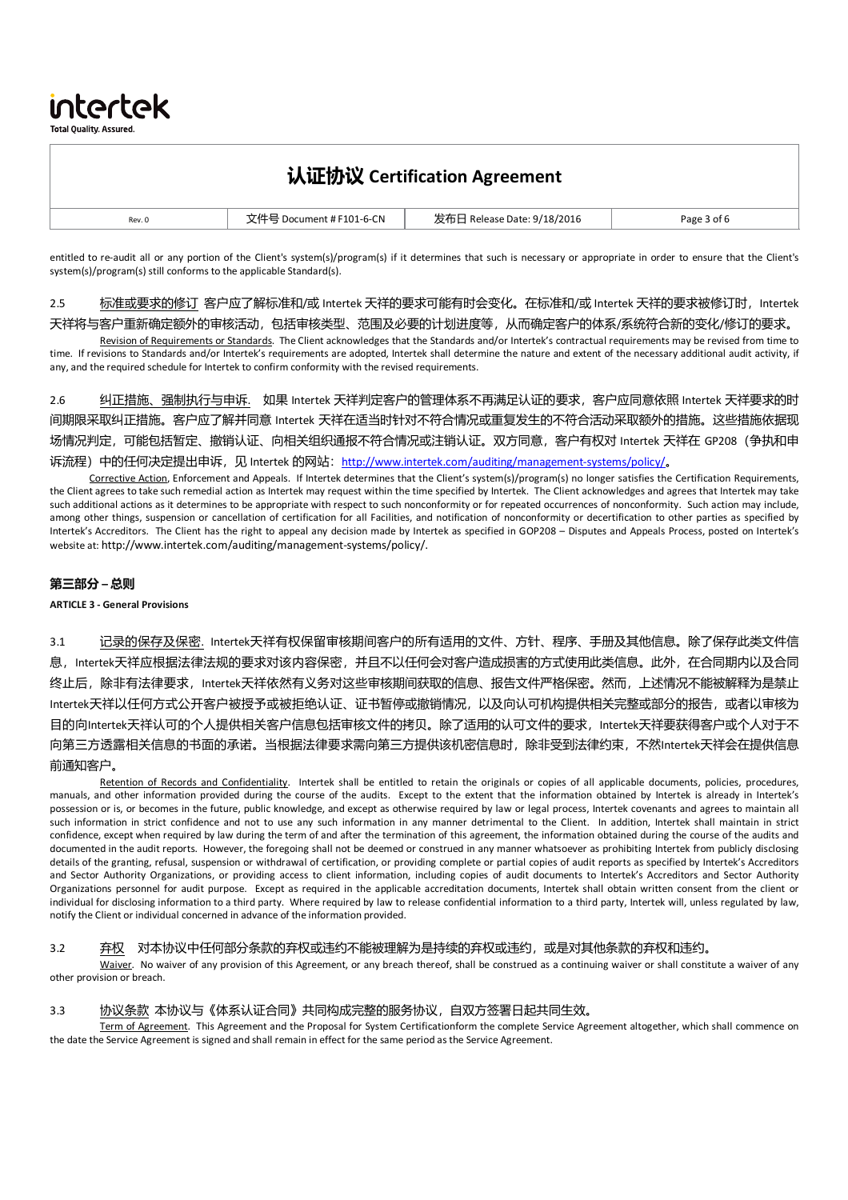**Total Quality, Assured** 

intertek

# 认证协议 **Certification Agreement**

| Rev. 0 | - IN<br>$-0-1$<br>$ -$ | 18/2016<br>нате<br>$\sim$ | Page<br>. .<br>$\sim$ |
|--------|------------------------|---------------------------|-----------------------|

entitled to re-audit all or any portion of the Client's system(s)/program(s) if it determines that such is necessary or appropriate in order to ensure that the Client's system(s)/program(s) still conforms to the applicable Standard(s).

2.5 标准或要求的修订 客户应了解标准和/或 Intertek 天祥的要求可能有时会变化。在标准和/或 Intertek 天祥的要求被修订时, Intertek 天祥将与客户重新确定额外的审核活动,包括审核类型、范围及必要的计划进度等,从而确定客户的体系/系统符合新的变化/修订的要求。

Revision of Requirements or Standards. The Client acknowledges that the Standards and/or Intertek's contractual requirements may be revised from time to time. If revisions to Standards and/or Intertek's requirements are adopted, Intertek shall determine the nature and extent of the necessary additional audit activity, if any, and the required schedule for Intertek to confirm conformity with the revised requirements.

2.6 纠正措施、强制执行与申诉. 如果 Intertek 天祥判定客户的管理体系不再满足认证的要求,客户应同意依照 Intertek 天祥要求的时 间期限采取纠正措施。客户应了解并同意 Intertek 天祥在适当时针对不符合情况或重复发生的不符合活动采取额外的措施。这些措施依据现 场情况判定,可能包括暂定、撤销认证、向相关组织通报不符合情况或注销认证。双方同意,客户有权对 Intertek 天祥在 GP208(争执和申 诉流程)中的任何决定提出申诉,见 Intertek 的网站: http://www.intertek.com/auditing/management-systems/policy/。

Corrective Action, Enforcement and Appeals. If Intertek determines that the Client's system(s)/program(s) no longer satisfies the Certification Requirements, the Client agrees to take such remedial action as Intertek may request within the time specified by Intertek. The Client acknowledges and agrees that Intertek may take such additional actions as it determines to be appropriate with respect to such nonconformity or for repeated occurrences of nonconformity. Such action may include, among other things, suspension or cancellation of certification for all Facilities, and notification of nonconformity or decertification to other parties as specified by Intertek's Accreditors. The Client has the right to appeal any decision made by Intertek as specified in GOP208 – Disputes and Appeals Process, posted on Intertek's website at: http://www.intertek.com/auditing/management-systems/policy/.

### 第三部分 **–** 总则

#### **ARTICLE 3 - General Provisions**

3.1 记录的保存及保密. Intertek天祥有权保留审核期间客户的所有适用的文件、方针、程序、手册及其他信息。除了保存此类文件信 息,Intertek天祥应根据法律法规的要求对该内容保密,并且不以任何会对客户造成损害的方式使用此类信息。此外,在合同期内以及合同 终止后,除非有法律要求,Intertek天祥依然有义务对这些审核期间获取的信息、报告文件严格保密。然而,上述情况不能被解释为是禁止 Intertek天祥以任何方式公开客户被授予或被拒绝认证、证书暂停或撤销情况,以及向认可机构提供相关完整或部分的报告,或者以审核为 目的向Intertek天祥认可的个人提供相关客户信息包括审核文件的拷贝。除了适用的认可文件的要求,Intertek天祥要获得客户或个人对于不 向第三方透露相关信息的书面的承诺。当根据法律要求需向第三方提供该机密信息时,除非受到法律约束,不然Intertek天祥会在提供信息 前通知客户。

Retention of Records and Confidentiality. Intertek shall be entitled to retain the originals or copies of all applicable documents, policies, procedures, manuals, and other information provided during the course of the audits. Except to the extent that the information obtained by Intertek is already in Intertek's possession or is, or becomes in the future, public knowledge, and except as otherwise required by law or legal process, Intertek covenants and agrees to maintain all such information in strict confidence and not to use any such information in any manner detrimental to the Client. In addition, Intertek shall maintain in strict confidence, except when required by law during the term of and after the termination of this agreement, the information obtained during the course of the audits and documented in the audit reports. However, the foregoing shall not be deemed or construed in any manner whatsoever as prohibiting Intertek from publicly disclosing details of the granting, refusal, suspension or withdrawal of certification, or providing complete or partial copies of audit reports as specified by Intertek's Accreditors and Sector Authority Organizations, or providing access to client information, including copies of audit documents to Intertek's Accreditors and Sector Authority Organizations personnel for audit purpose. Except as required in the applicable accreditation documents, Intertek shall obtain written consent from the client or individual for disclosing information to a third party. Where required by law to release confidential information to a third party, Intertek will, unless regulated by law, notify the Client or individual concerned in advance of the information provided.

#### 3.2 弃权 对本协议中任何部分条款的弃权或违约不能被理解为是持续的弃权或违约, 或是对其他条款的弃权和违约。

Waiver. No waiver of any provision of this Agreement, or any breach thereof, shall be construed as a continuing waiver or shall constitute a waiver of any other provision or breach.

#### 3.3 协议条款 本协议与《体系认证合同》共同构成完整的服务协议,自双方签署日起共同生效。

Term of Agreement. This Agreement and the Proposal for System Certificationform the complete Service Agreement altogether, which shall commence on the date the Service Agreement is signed and shall remain in effect for the same period as the Service Agreement.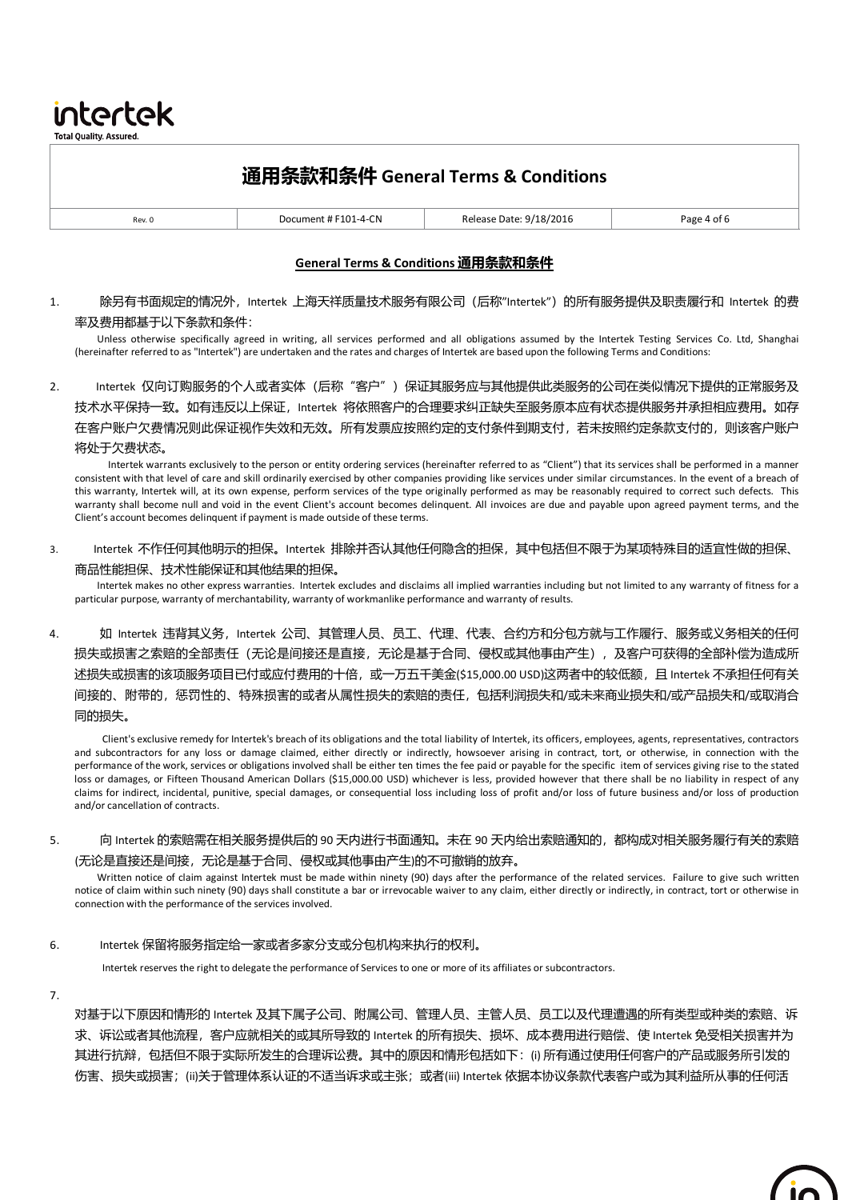通用条款和条件 **General Terms & Conditions** Rev. 0 **Document # F101-4-CN** Release Date: 9/18/2016 **Page 4 of 6** 

### **General Terms & Conditions** 通用条款和条件

1. 除另有书面规定的情况外, Intertek 上海天祥质量技术服务有限公司 (后称"Intertek") 的所有服务提供及职责履行和 Intertek 的费 率及费用都基于以下条款和条件:

Unless otherwise specifically agreed in writing, all services performed and all obligations assumed by the Intertek Testing Services Co. Ltd, Shanghai (hereinafter referred to as "Intertek") are undertaken and the rates and charges of Intertek are based upon the following Terms and Conditions:

2. Intertek 仅向订购服务的个人或者实体(后称"客户")保证其服务应与其他提供此类服务的公司在类似情况下提供的正常服务及 技术水平保持一致。如有违反以上保证,Intertek 将依照客户的合理要求纠正缺失至服务原本应有状态提供服务并承担相应费用。如存 在客户账户欠费情况则此保证视作失效和无效。所有发票应按照约定的支付条件到期支付,若未按照约定条款支付的,则该客户账户 将处于欠费状态。

Intertek warrants exclusively to the person or entity ordering services (hereinafter referred to as "Client") that its services shall be performed in a manner consistent with that level of care and skill ordinarily exercised by other companies providing like services under similar circumstances. In the event of a breach of this warranty, Intertek will, at its own expense, perform services of the type originally performed as may be reasonably required to correct such defects. This warranty shall become null and void in the event Client's account becomes delinquent. All invoices are due and payable upon agreed payment terms, and the Client's account becomes delinquent if payment is made outside of these terms.

3. Intertek 不作任何其他明示的担保。Intertek 排除并否认其他任何隐含的担保,其中包括但不限于为某项特殊目的适宜性做的担保、 商品性能担保、技术性能保证和其他结果的担保。

Intertek makes no other express warranties. Intertek excludes and disclaims all implied warranties including but not limited to any warranty of fitness for a particular purpose, warranty of merchantability, warranty of workmanlike performance and warranty of results.

4. 如 Intertek 违背其义务,Intertek 公司、其管理人员、员工、代理、代表、合约方和分包方就与工作履行、服务或义务相关的任何 损失或损害之索赔的全部责任(无论是间接还是直接,无论是基于合同、侵权或其他事由产生),及客户可获得的全部补偿为造成所 述损失或损害的该项服务项目已付或应付费用的十倍,或一万五千美金(\$15,000.00 USD)这两者中的较低额,且 Intertek 不承担任何有关 间接的、附带的,惩罚性的、特殊损害的或者从属性损失的索赔的责任,包括利润损失和/或未来商业损失和/或产品损失和/或取消合 同的损失。

Client's exclusive remedy for Intertek's breach of its obligations and the total liability of Intertek, its officers, employees, agents, representatives, contractors and subcontractors for any loss or damage claimed, either directly or indirectly, howsoever arising in contract, tort, or otherwise, in connection with the performance of the work, services or obligations involved shall be either ten times the fee paid or payable for the specific item of services giving rise to the stated loss or damages, or Fifteen Thousand American Dollars (\$15,000.00 USD) whichever is less, provided however that there shall be no liability in respect of any claims for indirect, incidental, punitive, special damages, or consequential loss including loss of profit and/or loss of future business and/or loss of production and/or cancellation of contracts.

5. 向 Intertek 的索赔需在相关服务提供后的 90 天内进行书面通知。未在 90 天内给出索赔通知的,都构成对相关服务履行有关的索赔 (无论是直接还是间接,无论是基于合同、侵权或其他事由产生)的不可撤销的放弃。

Written notice of claim against Intertek must be made within ninety (90) days after the performance of the related services. Failure to give such written notice of claim within such ninety (90) days shall constitute a bar or irrevocable waiver to any claim, either directly or indirectly, in contract, tort or otherwise in connection with the performance of the services involved.

6. Intertek 保留将服务指定给一家或者多家分支或分包机构来执行的权利。

Intertek reserves the right to delegate the performance of Services to one or more of its affiliates or subcontractors.

7.

intertek **Total Quality. Assured** 

> 对基于以下原因和情形的 Intertek 及其下属子公司、附属公司、管理人员、主管人员、员工以及代理遭遇的所有类型或种类的索赔、诉 求、诉讼或者其他流程,客户应就相关的或其所导致的 Intertek 的所有损失、损坏、成本费用进行赔偿、使 Intertek 免受相关损害并为 其进行抗辩,包括但不限于实际所发生的合理诉讼费。其中的原因和情形包括如下:(i) 所有通过使用任何客户的产品或服务所引发的 伤害、损失或损害;(ii)关于管理体系认证的不适当诉求或主张;或者(iii) Intertek 依据本协议条款代表客户或为其利益所从事的任何活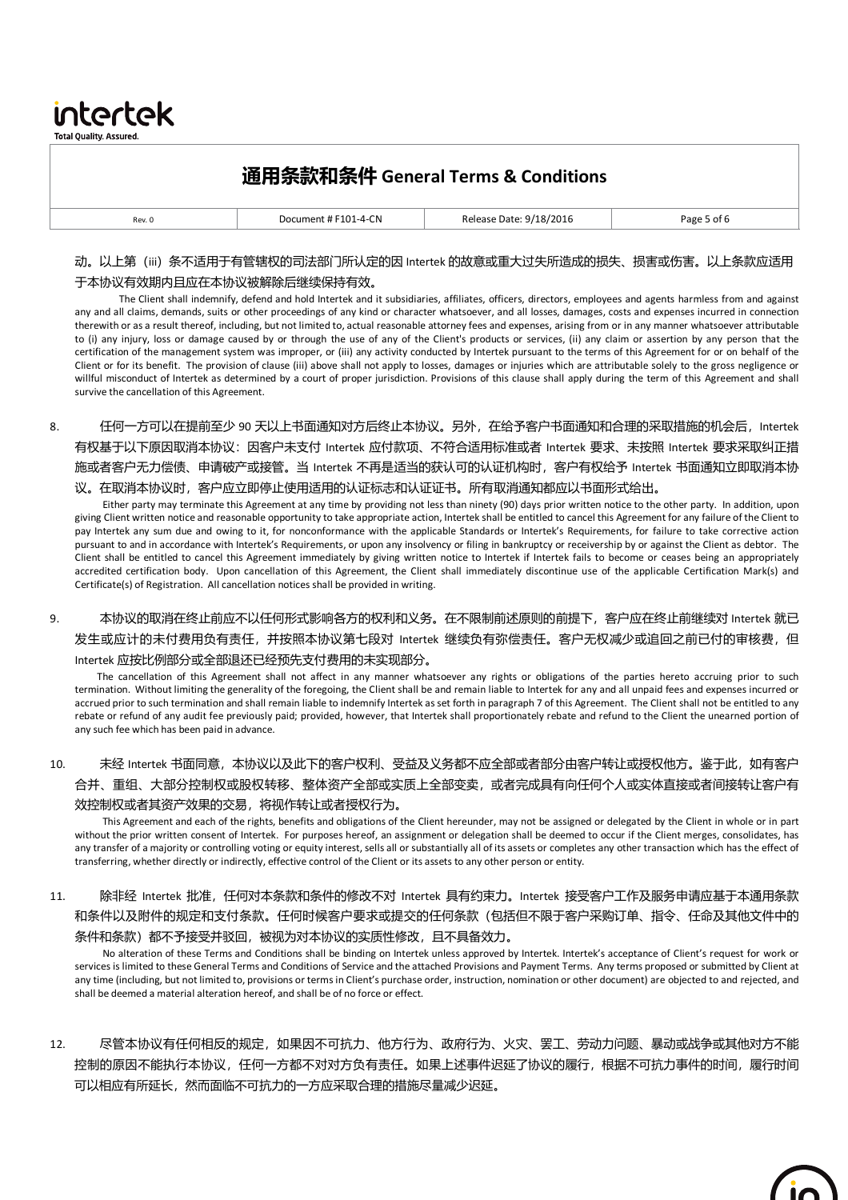|        | 通用条款和条件 General Terms & Conditions |                         |             |
|--------|------------------------------------|-------------------------|-------------|
| Rev. 0 | Document # F101-4-CN               | Release Date: 9/18/2016 | Page 5 of 6 |
|        |                                    |                         |             |

intertek **Total Quality. Assured.** 

## 动。以上第(iii)条不适用于有管辖权的司法部门所认定的因 Intertek 的故意或重大过失所造成的损失、损害或伤害。以上条款应适用 于本协议有效期内且应在本协议被解除后继续保持有效。

The Client shall indemnify, defend and hold Intertek and it subsidiaries, affiliates, officers, directors, employees and agents harmless from and against any and all claims, demands, suits or other proceedings of any kind or character whatsoever, and all losses, damages, costs and expenses incurred in connection therewith or as a result thereof, including, but not limited to, actual reasonable attorney fees and expenses, arising from or in any manner whatsoever attributable to (i) any injury, loss or damage caused by or through the use of any of the Client's products or services, (ii) any claim or assertion by any person that the certification of the management system was improper, or (iii) any activity conducted by Intertek pursuant to the terms of this Agreement for or on behalf of the Client or for its benefit. The provision of clause (iii) above shall not apply to losses, damages or injuries which are attributable solely to the gross negligence or willful misconduct of Intertek as determined by a court of proper jurisdiction. Provisions of this clause shall apply during the term of this Agreement and shall survive the cancellation of this Agreement.

8. 任何一方可以在提前至少 90 天以上书面通知对方后终止本协议。另外,在给予客户书面通知和合理的采取措施的机会后,Intertek 有权基于以下原因取消本协议:因客户未支付 Intertek 应付款项、不符合适用标准或者 Intertek 要求、未按照 Intertek 要求采取纠正措 施或者客户无力偿债、申请破产或接管。当 Intertek 不再是适当的获认可的认证机构时,客户有权给予 Intertek 书面通知立即取消本协 议。在取消本协议时,客户应立即停止使用适用的认证标志和认证证书。所有取消通知都应以书面形式给出。

Either party may terminate this Agreement at any time by providing not less than ninety (90) days prior written notice to the other party. In addition, upon giving Client written notice and reasonable opportunity to take appropriate action, Intertek shall be entitled to cancel this Agreement for any failure of the Client to pay Intertek any sum due and owing to it, for nonconformance with the applicable Standards or Intertek's Requirements, for failure to take corrective action pursuant to and in accordance with Intertek's Requirements, or upon any insolvency or filing in bankruptcy or receivership by or against the Client as debtor. The Client shall be entitled to cancel this Agreement immediately by giving written notice to Intertek if Intertek fails to become or ceases being an appropriately accredited certification body. Upon cancellation of this Agreement, the Client shall immediately discontinue use of the applicable Certification Mark(s) and Certificate(s) of Registration. All cancellation notices shall be provided in writing.

9. 本协议的取消在终止前应不以任何形式影响各方的权利和义务。在不限制前述原则的前提下,客户应在终止前继续对 Intertek 就已 发生或应计的未付费用负有责任,并按照本协议第七段对 Intertek 继续负有弥偿责任。客户无权减少或追回之前已付的审核费,但 Intertek 应按比例部分或全部退还已经预先支付费用的未实现部分。

The cancellation of this Agreement shall not affect in any manner whatsoever any rights or obligations of the parties hereto accruing prior to such termination. Without limiting the generality of the foregoing, the Client shall be and remain liable to Intertek for any and all unpaid fees and expenses incurred or accrued prior to such termination and shall remain liable to indemnify Intertek as set forth in paragraph 7 of this Agreement. The Client shall not be entitled to any rebate or refund of any audit fee previously paid; provided, however, that Intertek shall proportionately rebate and refund to the Client the unearned portion of any such fee which has been paid in advance.

## 10. 未经 Intertek 书面同意,本协议以及此下的客户权利、受益及义务都不应全部或者部分由客户转让或授权他方。鉴于此,如有客户 合并、重组、大部分控制权或股权转移、整体资产全部或实质上全部变卖,或者完成具有向任何个人或实体直接或者间接转让客户有 效控制权或者其资产效果的交易,将视作转让或者授权行为。

This Agreement and each of the rights, benefits and obligations of the Client hereunder, may not be assigned or delegated by the Client in whole or in part without the prior written consent of Intertek. For purposes hereof, an assignment or delegation shall be deemed to occur if the Client merges, consolidates, has any transfer of a majority or controlling voting or equity interest, sells all or substantially all of its assets or completes any other transaction which has the effect of transferring, whether directly or indirectly, effective control of the Client or its assets to any other person or entity.

11. 除非经 Intertek 批准, 任何对本条款和条件的修改不对 Intertek 具有约束力。Intertek 接受客户工作及服务申请应基于本通用条款 和条件以及附件的规定和支付条款。任何时候客户要求或提交的任何条款(包括但不限于客户采购订单、指令、任命及其他文件中的 条件和条款)都不予接受并驳回,被视为对本协议的实质性修改,且不具备效力。

No alteration of these Terms and Conditions shall be binding on Intertek unless approved by Intertek. Intertek's acceptance of Client's request for work or services is limited to these General Terms and Conditions of Service and the attached Provisions and Payment Terms. Any terms proposed or submitted by Client at any time (including, but not limited to, provisions or terms in Client's purchase order, instruction, nomination or other document) are objected to and rejected, and shall be deemed a material alteration hereof, and shall be of no force or effect.

12. 尽管本协议有任何相反的规定,如果因不可抗力、他方行为、政府行为、火灾、罢工、劳动力问题、暴动或战争或其他对方不能 控制的原因不能执行本协议,任何一方都不对对方负有责任。如果上述事件迟延了协议的履行,根据不可抗力事件的时间,履行时间 可以相应有所延长,然而面临不可抗力的一方应采取合理的措施尽量减少迟延。